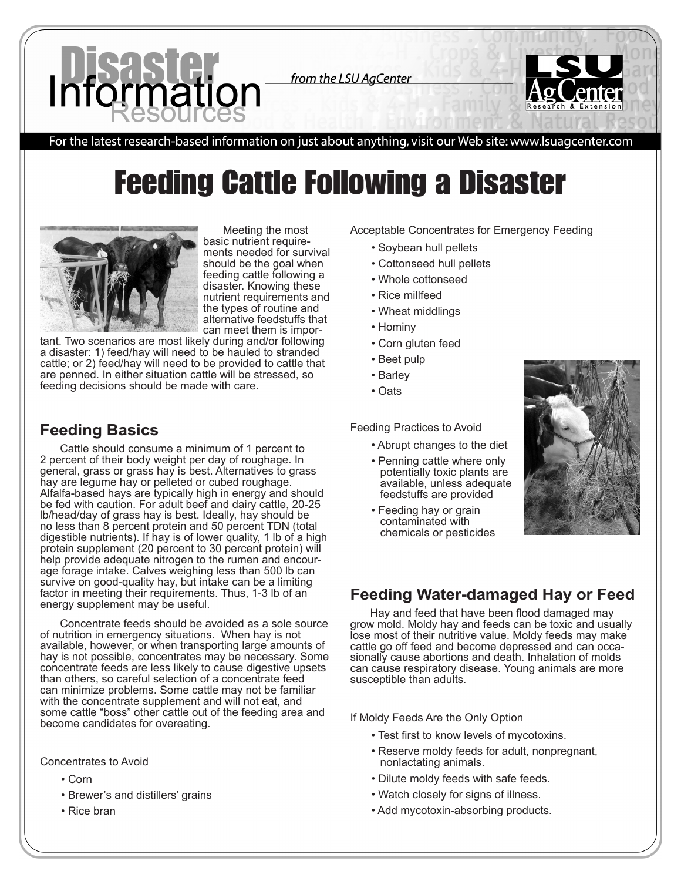from the LSU AgCenter



For the latest research-based information on just about anything, visit our Web site: www.lsuagcenter.com

# Feeding Cattle Following a Disaster



Meeting the most basic nutrient requirements needed for survival should be the goal when feeding cattle following a disaster. Knowing these nutrient requirements and the types of routine and alternative feedstuffs that can meet them is impor-

tant. Two scenarios are most likely during and/or following a disaster: 1) feed/hay will need to be hauled to stranded cattle; or 2) feed/hay will need to be provided to cattle that are penned. In either situation cattle will be stressed, so feeding decisions should be made with care.

## **Feeding Basics**

Cattle should consume a minimum of 1 percent to 2 percent of their body weight per day of roughage. In general, grass or grass hay is best. Alternatives to grass hay are legume hay or pelleted or cubed roughage. Alfalfa-based hays are typically high in energy and should be fed with caution. For adult beef and dairy cattle, 20-25 lb/head/day of grass hay is best. Ideally, hay should be no less than 8 percent protein and 50 percent TDN (total digestible nutrients). If hay is of lower quality, 1 lb of a high protein supplement (20 percent to 30 percent protein) will help provide adequate nitrogen to the rumen and encourage forage intake. Calves weighing less than 500 lb can survive on good-quality hay, but intake can be a limiting factor in meeting their requirements. Thus, 1-3 lb of an energy supplement may be useful.

Concentrate feeds should be avoided as a sole source of nutrition in emergency situations. When hay is not available, however, or when transporting large amounts of hay is not possible, concentrates may be necessary. Some concentrate feeds are less likely to cause digestive upsets than others, so careful selection of a concentrate feed can minimize problems. Some cattle may not be familiar with the concentrate supplement and will not eat, and some cattle "boss" other cattle out of the feeding area and become candidates for overeating.

Concentrates to Avoid

- Corn
- Brewer's and distillers' grains
- Rice bran

Acceptable Concentrates for Emergency Feeding

- Soybean hull pellets
- Cottonseed hull pellets
- Whole cottonseed
- Rice millfeed
- Wheat middlings
- Hominy
- Corn gluten feed
- Beet pulp
- Barley
- Oats

Feeding Practices to Avoid

- Abrupt changes to the diet
- Penning cattle where only potentially toxic plants are available, unless adequate feedstuffs are provided
- Feeding hay or grain contaminated with chemicals or pesticides



# **Feeding Water-damaged Hay or Feed**

Hay and feed that have been flood damaged may grow mold. Moldy hay and feeds can be toxic and usually lose most of their nutritive value. Moldy feeds may make cattle go off feed and become depressed and can occa- sionally cause abortions and death. Inhalation of molds can cause respiratory disease. Young animals are more susceptible than adults.

If Moldy Feeds Are the Only Option

- Test first to know levels of mycotoxins.
- Reserve moldy feeds for adult, nonpregnant, nonlactating animals.
- Dilute moldy feeds with safe feeds.
- Watch closely for signs of illness.
- Add mycotoxin-absorbing products.